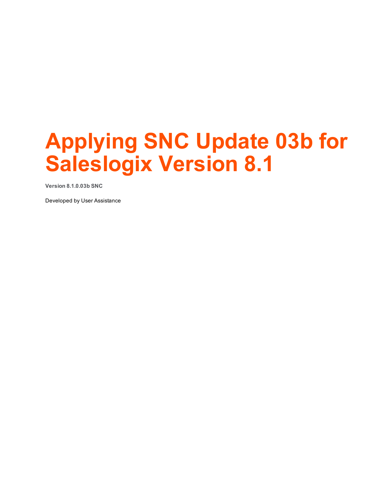# **Applying SNC Update 03b for Saleslogix Version 8.1**

**Version 8.1.0.03b SNC**

Developed by User Assistance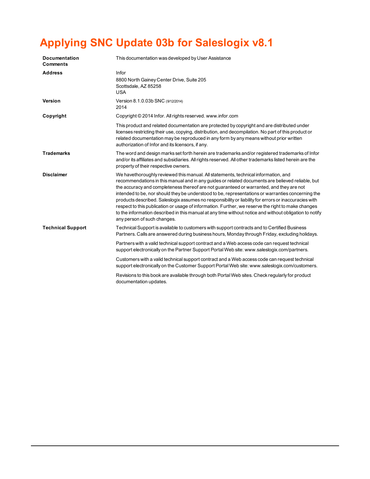## **Applying SNC Update 03b for Saleslogix v8.1**

| <b>Documentation</b><br><b>Comments</b> | This documentation was developed by User Assistance                                                                                                                                                                                                                                                                                                                                                                                                                                                                                                                                                                                                                                                                                              |
|-----------------------------------------|--------------------------------------------------------------------------------------------------------------------------------------------------------------------------------------------------------------------------------------------------------------------------------------------------------------------------------------------------------------------------------------------------------------------------------------------------------------------------------------------------------------------------------------------------------------------------------------------------------------------------------------------------------------------------------------------------------------------------------------------------|
| <b>Address</b>                          | Infor<br>8800 North Gainey Center Drive, Suite 205<br>Scottsdale, AZ 85258<br><b>USA</b>                                                                                                                                                                                                                                                                                                                                                                                                                                                                                                                                                                                                                                                         |
| Version                                 | Version 8.1.0.03b SNC (9/12/2014)<br>2014                                                                                                                                                                                                                                                                                                                                                                                                                                                                                                                                                                                                                                                                                                        |
| Copyright                               | Copyright © 2014 Infor. All rights reserved. www.infor.com                                                                                                                                                                                                                                                                                                                                                                                                                                                                                                                                                                                                                                                                                       |
|                                         | This product and related documentation are protected by copyright and are distributed under<br>licenses restricting their use, copying, distribution, and decompilation. No part of this product or<br>related documentation may be reproduced in any form by any means without prior written<br>authorization of Infor and its licensors, if any.                                                                                                                                                                                                                                                                                                                                                                                               |
| <b>Trademarks</b>                       | The word and design marks set forth herein are trademarks and/or registered trademarks of Infor<br>and/or its affiliates and subsidiaries. All rights reserved. All other trademarks listed herein are the<br>property of their respective owners.                                                                                                                                                                                                                                                                                                                                                                                                                                                                                               |
| <b>Disclaimer</b>                       | We have thoroughly reviewed this manual. All statements, technical information, and<br>recommendations in this manual and in any guides or related documents are believed reliable, but<br>the accuracy and completeness thereof are not guaranteed or warranted, and they are not<br>intended to be, nor should they be understood to be, representations or warranties concerning the<br>products described. Saleslogix assumes no responsibility or liability for errors or inaccuracies with<br>respect to this publication or usage of information. Further, we reserve the right to make changes<br>to the information described in this manual at any time without notice and without obligation to notify<br>any person of such changes. |
| <b>Technical Support</b>                | Technical Support is available to customers with support contracts and to Certified Business<br>Partners. Calls are answered during business hours, Monday through Friday, excluding holidays.                                                                                                                                                                                                                                                                                                                                                                                                                                                                                                                                                   |
|                                         | Partners with a valid technical support contract and a Web access code can request technical<br>support electronically on the Partner Support Portal Web site: www.saleslogix.com/partners.                                                                                                                                                                                                                                                                                                                                                                                                                                                                                                                                                      |
|                                         | Customers with a valid technical support contract and a Web access code can request technical<br>support electronically on the Customer Support Portal Web site: www.saleslogix.com/customers.                                                                                                                                                                                                                                                                                                                                                                                                                                                                                                                                                   |
|                                         | Revisions to this book are available through both Portal Web sites. Check regularly for product<br>documentation updates.                                                                                                                                                                                                                                                                                                                                                                                                                                                                                                                                                                                                                        |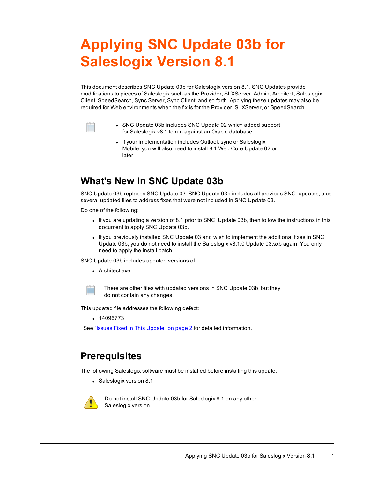## **Applying SNC Update 03b for Saleslogix Version 8.1**

This document describes SNC Update 03b for Saleslogix version 8.1. SNC Updates provide modifications to pieces of Saleslogix such as the Provider, SLXServer, Admin, Architect, Saleslogix Client, SpeedSearch, Sync Server, Sync Client, and so forth. Applying these updates may also be required for Web environments when the fix is for the Provider, SLXServer, or SpeedSearch.



- SNC Update 03b includes SNC Update 02 which added support for Saleslogix v8.1 to run against an Oracle database.
- If your implementation includes Outlook sync or Saleslogix Mobile, you will also need to install 8.1 Web Core Update 02 or later.

## **What's New in SNC Update 03b**

SNC Update 03b replaces SNC Update 03. SNC Update 03b includes all previous SNC updates, plus several updated files to address fixes that were not included in SNC Update 03.

Do one of the following:

- If you are updating a version of 8.1 prior to SNC Update 03b, then follow the instructions in this document to apply SNC Update 03b.
- If you previously installed SNC Update 03 and wish to implement the additional fixes in SNC Update 03b, you do not need to install the Saleslogix v8.1.0 Update 03.sxb again. You only need to apply the install patch.

SNC Update 03b includes updated versions of:

• Architect.exe



There are other files with updated versions in SNC Update 03b, but they do not contain any changes.

This updated file addresses the following defect:

 $. 14096773$ 

[See](#page-3-0) "Issues Fixed in This [Update"](#page-3-0) on page 2 for detailed information.

## **Prerequisites**

The following Saleslogix software must be installed before installing this update:

• Saleslogix version 8.1



Do not install SNC Update 03b for Saleslogix 8.1 on any other Saleslogix version.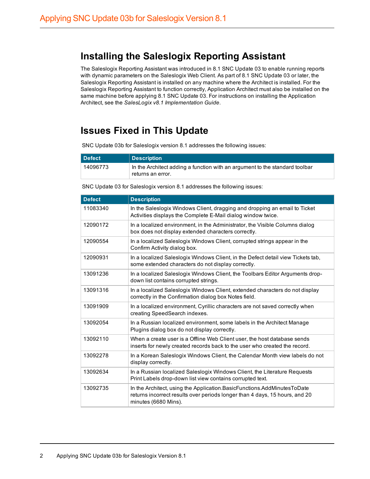## **Installing the Saleslogix Reporting Assistant**

The Saleslogix Reporting Assistant was introduced in 8.1 SNC Update 03 to enable running reports with dynamic parameters on the Saleslogix Web Client. As part of 8.1 SNC Update 03 or later, the Saleslogix Reporting Assistant is installed on any machine where the Architect is installed. For the Saleslogix Reporting Assistant to function correctly, Application Architect must also be installed on the same machine before applying 8.1 SNC Update 03. For instructions on installing the Application Architect, see the *SalesLogix v8.1 Implementation Guide*.

## <span id="page-3-0"></span>**Issues Fixed in This Update**

SNC Update 03b for Saleslogix version 8.1 addresses the following issues:

| l Defect | <b>Description</b>                                                                                |
|----------|---------------------------------------------------------------------------------------------------|
| 14096773 | In the Architect adding a function with an argument to the standard toolbar<br>≒returns an error. |

SNC Update 03 for Saleslogix version 8.1 addresses the following issues:

| <b>Defect</b> | <b>Description</b>                                                                                                                                                             |
|---------------|--------------------------------------------------------------------------------------------------------------------------------------------------------------------------------|
| 11083340      | In the Saleslogix Windows Client, dragging and dropping an email to Ticket<br>Activities displays the Complete E-Mail dialog window twice.                                     |
| 12090172      | In a localized environment, in the Administrator, the Visible Columns dialog<br>box does not display extended characters correctly.                                            |
| 12090554      | In a localized Saleslogix Windows Client, corrupted strings appear in the<br>Confirm Activity dialog box.                                                                      |
| 12090931      | In a localized Saleslogix Windows Client, in the Defect detail view Tickets tab,<br>some extended characters do not display correctly.                                         |
| 13091236      | In a localized Saleslogix Windows Client, the Toolbars Editor Arguments drop-<br>down list contains corrupted strings.                                                         |
| 13091316      | In a localized Saleslogix Windows Client, extended characters do not display<br>correctly in the Confirmation dialog box Notes field.                                          |
| 13091909      | In a localized environment, Cyrillic characters are not saved correctly when<br>creating SpeedSearch indexes.                                                                  |
| 13092054      | In a Russian localized environment, some labels in the Architect Manage<br>Plugins dialog box do not display correctly.                                                        |
| 13092110      | When a create user is a Offline Web Client user, the host database sends<br>inserts for newly created records back to the user who created the record.                         |
| 13092278      | In a Korean Saleslogix Windows Client, the Calendar Month view labels do not<br>display correctly.                                                                             |
| 13092634      | In a Russian localized Saleslogix Windows Client, the Literature Requests<br>Print Labels drop-down list view contains corrupted text.                                         |
| 13092735      | In the Architect, using the Application.BasicFunctions.AddMinutesToDate<br>returns incorrect results over periods longer than 4 days, 15 hours, and 20<br>minutes (6680 Mins). |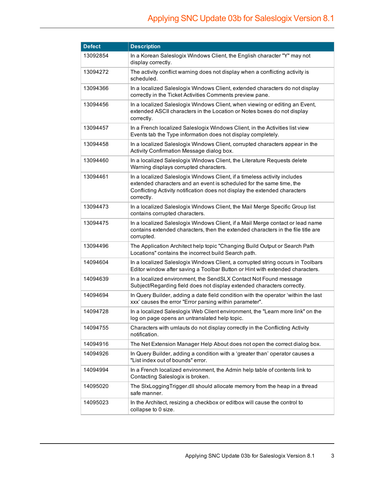| <b>Defect</b> | <b>Description</b>                                                                                                                                                                                                                            |
|---------------|-----------------------------------------------------------------------------------------------------------------------------------------------------------------------------------------------------------------------------------------------|
| 13092854      | In a Korean Saleslogix Windows Client, the English character "Y" may not<br>display correctly.                                                                                                                                                |
| 13094272      | The activity conflict warning does not display when a conflicting activity is<br>scheduled.                                                                                                                                                   |
| 13094366      | In a localized Saleslogix Windows Client, extended characters do not display<br>correctly in the Ticket Activities Comments preview pane.                                                                                                     |
| 13094456      | In a localized Saleslogix Windows Client, when viewing or editing an Event,<br>extended ASCII characters in the Location or Notes boxes do not display<br>correctly.                                                                          |
| 13094457      | In a French localized Saleslogix Windows Client, in the Activities list view<br>Events tab the Type information does not display completely.                                                                                                  |
| 13094458      | In a localized Saleslogix Windows Client, corrupted characters appear in the<br>Activity Confirmation Message dialog box.                                                                                                                     |
| 13094460      | In a localized Saleslogix Windows Client, the Literature Requests delete<br>Warning displays corrupted characters.                                                                                                                            |
| 13094461      | In a localized Saleslogix Windows Client, if a timeless activity includes<br>extended characters and an event is scheduled for the same time, the<br>Conflicting Activity notification does not display the extended characters<br>correctly. |
| 13094473      | In a localized Saleslogix Windows Client, the Mail Merge Specific Group list<br>contains corrupted characters.                                                                                                                                |
| 13094475      | In a localized Saleslogix Windows Client, if a Mail Merge contact or lead name<br>contains extended characters, then the extended characters in the file title are<br>corrupted.                                                              |
| 13094496      | The Application Architect help topic "Changing Build Output or Search Path<br>Locations" contains the incorrect build Search path.                                                                                                            |
| 14094604      | In a localized Saleslogix Windows Client, a corrupted string occurs in Toolbars<br>Editor window after saving a Toolbar Button or Hint with extended characters.                                                                              |
| 14094639      | In a localized environment, the SendSLX Contact Not Found message<br>Subject/Regarding field does not display extended characters correctly.                                                                                                  |
| 14094694      | In Query Builder, adding a date field condition with the operator 'within the last<br>xxx' causes the error "Error parsing within parameter".                                                                                                 |
| 14094728      | In a localized Saleslogix Web Client environment, the "Learn more link" on the<br>log on page opens an untranslated help topic.                                                                                                               |
| 14094755      | Characters with umlauts do not display correctly in the Conflicting Activity<br>notification.                                                                                                                                                 |
| 14094916      | The Net Extension Manager Help About does not open the correct dialog box.                                                                                                                                                                    |
| 14094926      | In Query Builder, adding a condition with a 'greater than' operator causes a<br>"List index out of bounds" error.                                                                                                                             |
| 14094994      | In a French localized environment, the Admin help table of contents link to<br>Contacting Saleslogix is broken.                                                                                                                               |
| 14095020      | The SIxLogging Trigger.dll should allocate memory from the heap in a thread<br>safe manner.                                                                                                                                                   |
| 14095023      | In the Architect, resizing a checkbox or editbox will cause the control to<br>collapse to 0 size.                                                                                                                                             |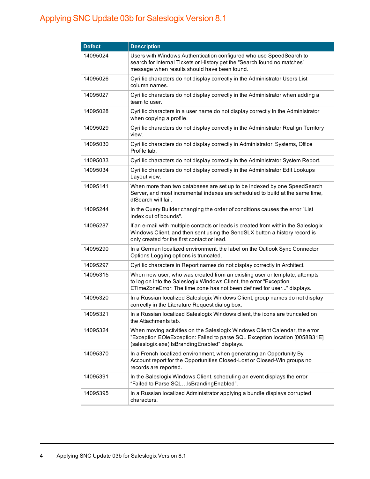| <b>Defect</b> | <b>Description</b>                                                                                                                                                                                                         |
|---------------|----------------------------------------------------------------------------------------------------------------------------------------------------------------------------------------------------------------------------|
| 14095024      | Users with Windows Authentication configured who use SpeedSearch to<br>search for Internal Tickets or History get the "Search found no matches"<br>message when results should have been found.                            |
| 14095026      | Cyrillic characters do not display correctly in the Administrator Users List<br>column names.                                                                                                                              |
| 14095027      | Cyrillic characters do not display correctly in the Administrator when adding a<br>team to user.                                                                                                                           |
| 14095028      | Cyrillic characters in a user name do not display correctly In the Administrator<br>when copying a profile.                                                                                                                |
| 14095029      | Cyrillic characters do not display correctly in the Administrator Realign Territory<br>view.                                                                                                                               |
| 14095030      | Cyrillic characters do not display correctly in Administrator, Systems, Office<br>Profile tab.                                                                                                                             |
| 14095033      | Cyrillic characters do not display correctly in the Administrator System Report.                                                                                                                                           |
| 14095034      | Cyrillic characters do not display correctly in the Administrator Edit Lookups<br>Layout view.                                                                                                                             |
| 14095141      | When more than two databases are set up to be indexed by one SpeedSearch<br>Server, and most incremental indexes are scheduled to build at the same time,<br>dtSearch will fail.                                           |
| 14095244      | In the Query Builder changing the order of conditions causes the error "List<br>index out of bounds".                                                                                                                      |
| 14095287      | If an e-mail with multiple contacts or leads is created from within the Saleslogix<br>Windows Client, and then sent using the SendSLX button a history record is<br>only created for the first contact or lead.            |
| 14095290      | In a German localized environment, the label on the Outlook Sync Connector<br>Options Logging options is truncated.                                                                                                        |
| 14095297      | Cyrillic characters in Report names do not display correctly in Architect.                                                                                                                                                 |
| 14095315      | When new user, who was created from an existing user or template, attempts<br>to log on into the Saleslogix Windows Client, the error "Exception<br>ETimeZoneError: The time zone has not been defined for user" displays. |
| 14095320      | In a Russian localized Saleslogix Windows Client, group names do not display<br>correctly in the Literature Request dialog box.                                                                                            |
| 14095321      | In a Russian localized Saleslogix Windows client, the icons are truncated on<br>the Attachments tab.                                                                                                                       |
| 14095324      | When moving activities on the Saleslogix Windows Client Calendar, the error<br>"Exception EOIeException: Failed to parse SQL Exception location [0058B31E]<br>(saleslogix.exe) IsBrandingEnabled" displays.                |
| 14095370      | In a French localized environment, when generating an Opportunity By<br>Account report for the Opportunities Closed-Lost or Closed-Win groups no<br>records are reported.                                                  |
| 14095391      | In the Saleslogix Windows Client, scheduling an event displays the error<br>"Failed to Parse SQLIsBrandingEnabled".                                                                                                        |
| 14095395      | In a Russian localized Administrator applying a bundle displays corrupted<br>characters.                                                                                                                                   |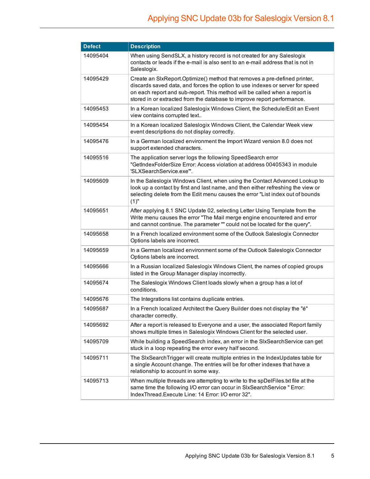| <b>Defect</b> | <b>Description</b>                                                                                                                                                                                                                                                                                                  |
|---------------|---------------------------------------------------------------------------------------------------------------------------------------------------------------------------------------------------------------------------------------------------------------------------------------------------------------------|
| 14095404      | When using SendSLX, a history record is not created for any Saleslogix<br>contacts or leads if the e-mail is also sent to an e-mail address that is not in<br>Saleslogix.                                                                                                                                           |
| 14095429      | Create an SIxReport.Optimize() method that removes a pre-defined printer,<br>discards saved data, and forces the option to use indexes or server for speed<br>on each report and sub-report. This method will be called when a report is<br>stored in or extracted from the database to improve report performance. |
| 14095453      | In a Korean localized Saleslogix Windows Client, the Schedule/Edit an Event<br>view contains corrupted text                                                                                                                                                                                                         |
| 14095454      | In a Korean localized Saleslogix Windows Client, the Calendar Week view<br>event descriptions do not display correctly.                                                                                                                                                                                             |
| 14095476      | In a German localized environment the Import Wizard version 8.0 does not<br>support extended characters.                                                                                                                                                                                                            |
| 14095516      | The application server logs the following SpeedSearch error<br>"GetIndexFolderSize Error: Access violation at address 00405343 in module<br>'SLXSearchService.exe'".                                                                                                                                                |
| 14095609      | In the Saleslogix Windows Client, when using the Contact Advanced Lookup to<br>look up a contact by first and last name, and then either refreshing the view or<br>selecting delete from the Edit menu causes the error "List index out of bounds<br>(1)"                                                           |
| 14095651      | After applying 8.1 SNC Update 02, selecting Letter Using Template from the<br>Write menu causes the error "The Mail merge engine encountered and error<br>and cannot continue. The parameter "" could not be located for the query".                                                                                |
| 14095658      | In a French localized environment some of the Outlook Saleslogix Connector<br>Options labels are incorrect.                                                                                                                                                                                                         |
| 14095659      | In a German localized environment some of the Outlook Saleslogix Connector<br>Options labels are incorrect.                                                                                                                                                                                                         |
| 14095666      | In a Russian localized Saleslogix Windows Client, the names of copied groups<br>listed in the Group Manager display incorrectly.                                                                                                                                                                                    |
| 14095674      | The Saleslogix Windows Client loads slowly when a group has a lot of<br>conditions.                                                                                                                                                                                                                                 |
| 14095676      | The Integrations list contains duplicate entries.                                                                                                                                                                                                                                                                   |
| 14095687      | In a French localized Architect the Query Builder does not display the "é"<br>character correctly.                                                                                                                                                                                                                  |
| 14095692      | After a report is released to Everyone and a user, the associated Report family<br>shows multiple times in Saleslogix Windows Client for the selected user.                                                                                                                                                         |
| 14095709      | While building a SpeedSearch index, an error in the SIxSearchService can get<br>stuck in a loop repeating the error every half second.                                                                                                                                                                              |
| 14095711      | The SIxSearch Trigger will create multiple entries in the IndexUpdates table for<br>a single Account change. The entries will be for other indexes that have a<br>relationship to account in some way.                                                                                                              |
| 14095713      | When multiple threads are attempting to write to the spDelFiles.txt file at the<br>same time the following I/O error can occur in SIxSearchService " Error:<br>IndexThread.Execute Line: 14 Error: I/O error 32".                                                                                                   |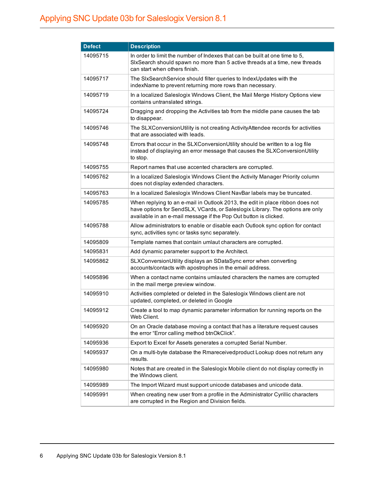| <b>Defect</b> | <b>Description</b>                                                                                                                                                                                                                 |
|---------------|------------------------------------------------------------------------------------------------------------------------------------------------------------------------------------------------------------------------------------|
| 14095715      | In order to limit the number of Indexes that can be built at one time to 5,<br>SIxSearch should spawn no more than 5 active threads at a time, new threads<br>can start when others finish.                                        |
| 14095717      | The SIxSearchService should filter queries to IndexUpdates with the<br>indexName to prevent returning more rows than necessary.                                                                                                    |
| 14095719      | In a localized Saleslogix Windows Client, the Mail Merge History Options view<br>contains untranslated strings.                                                                                                                    |
| 14095724      | Dragging and dropping the Activities tab from the middle pane causes the tab<br>to disappear.                                                                                                                                      |
| 14095746      | The SLXConversionUtility is not creating ActivityAttendee records for activities<br>that are associated with leads.                                                                                                                |
| 14095748      | Errors that occur in the SLXConversionUtility should be written to a log file<br>instead of displaying an error message that causes the SLXConversionUtility<br>to stop.                                                           |
| 14095755      | Report names that use accented characters are corrupted.                                                                                                                                                                           |
| 14095762      | In a localized Saleslogix Windows Client the Activity Manager Priority column<br>does not display extended characters.                                                                                                             |
| 14095763      | In a localized Saleslogix Windows Client NavBar labels may be truncated.                                                                                                                                                           |
| 14095785      | When replying to an e-mail in Outlook 2013, the edit in place ribbon does not<br>have options for SendSLX, VCards, or Saleslogix Library. The options are only<br>available in an e-mail message if the Pop Out button is clicked. |
| 14095788      | Allow administrators to enable or disable each Outlook sync option for contact<br>sync, activities sync or tasks sync separately.                                                                                                  |
| 14095809      | Template names that contain umlaut characters are corrupted.                                                                                                                                                                       |
| 14095831      | Add dynamic parameter support to the Architect.                                                                                                                                                                                    |
| 14095862      | SLXConversionUtility displays an SDataSync error when converting<br>accounts/contacts with apostrophes in the email address.                                                                                                       |
| 14095896      | When a contact name contains umlauted characters the names are corrupted<br>in the mail merge preview window.                                                                                                                      |
| 14095910      | Activities completed or deleted in the Saleslogix Windows client are not<br>updated, completed, or deleted in Google                                                                                                               |
| 14095912      | Create a tool to map dynamic parameter information for running reports on the<br>Web Client.                                                                                                                                       |
| 14095920      | On an Oracle database moving a contact that has a literature request causes<br>the error "Error calling method btnOkClick".                                                                                                        |
| 14095936      | Export to Excel for Assets generates a corrupted Serial Number.                                                                                                                                                                    |
| 14095937      | On a multi-byte database the Rmareceivedproduct Lookup does not return any<br>results.                                                                                                                                             |
| 14095980      | Notes that are created in the Saleslogix Mobile client do not display correctly in<br>the Windows client.                                                                                                                          |
| 14095989      | The Import Wizard must support unicode databases and unicode data.                                                                                                                                                                 |
| 14095991      | When creating new user from a profile in the Administrator Cyrillic characters<br>are corrupted in the Region and Division fields.                                                                                                 |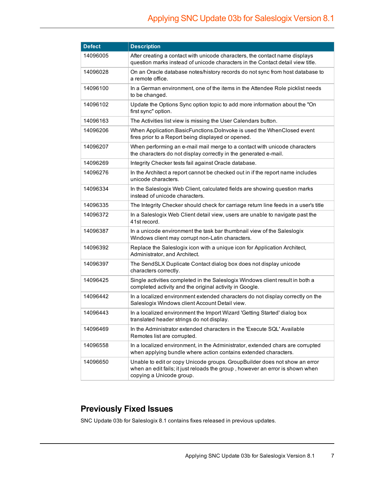| <b>Defect</b> | <b>Description</b>                                                                                                                                                                       |
|---------------|------------------------------------------------------------------------------------------------------------------------------------------------------------------------------------------|
| 14096005      | After creating a contact with unicode characters, the contact name displays<br>question marks instead of unicode characters in the Contact detail view title.                            |
| 14096028      | On an Oracle database notes/history records do not sync from host database to<br>a remote office.                                                                                        |
| 14096100      | In a German environment, one of the items in the Attendee Role picklist needs<br>to be changed.                                                                                          |
| 14096102      | Update the Options Sync option topic to add more information about the "On<br>first sync" option.                                                                                        |
| 14096163      | The Activities list view is missing the User Calendars button.                                                                                                                           |
| 14096206      | When Application.BasicFunctions.Dolnvoke is used the WhenClosed event<br>fires prior to a Report being displayed or opened.                                                              |
| 14096207      | When performing an e-mail mail merge to a contact with unicode characters<br>the characters do not display correctly in the generated e-mail.                                            |
| 14096269      | Integrity Checker tests fail against Oracle database.                                                                                                                                    |
| 14096276      | In the Architect a report cannot be checked out in if the report name includes<br>unicode characters.                                                                                    |
| 14096334      | In the Saleslogix Web Client, calculated fields are showing question marks<br>instead of unicode characters.                                                                             |
| 14096335      | The Integrity Checker should check for carriage return line feeds in a user's title                                                                                                      |
| 14096372      | In a Saleslogix Web Client detail view, users are unable to navigate past the<br>41st record.                                                                                            |
| 14096387      | In a unicode environment the task bar thumbnail view of the Saleslogix<br>Windows client may corrupt non-Latin characters.                                                               |
| 14096392      | Replace the Saleslogix icon with a unique icon for Application Architect,<br>Administrator, and Architect.                                                                               |
| 14096397      | The SendSLX Duplicate Contact dialog box does not display unicode<br>characters correctly.                                                                                               |
| 14096425      | Single activities completed in the Saleslogix Windows client result in both a<br>completed activity and the original activity in Google.                                                 |
| 14096442      | In a localized environment extended characters do not display correctly on the<br>Saleslogix Windows client Account Detail view.                                                         |
| 14096443      | In a localized environment the Import Wizard 'Getting Started' dialog box<br>translated header strings do not display.                                                                   |
| 14096469      | In the Administrator extended characters in the 'Execute SQL' Available<br>Remotes list are corrupted.                                                                                   |
| 14096558      | In a localized environment, in the Administrator, extended chars are corrupted<br>when applying bundle where action contains extended characters.                                        |
| 14096650      | Unable to edit or copy Unicode groups. Group Builder does not show an error<br>when an edit fails; it just reloads the group, however an error is shown when<br>copying a Unicode group. |

## **Previously Fixed Issues**

SNC Update 03b for Saleslogix 8.1 contains fixes released in previous updates.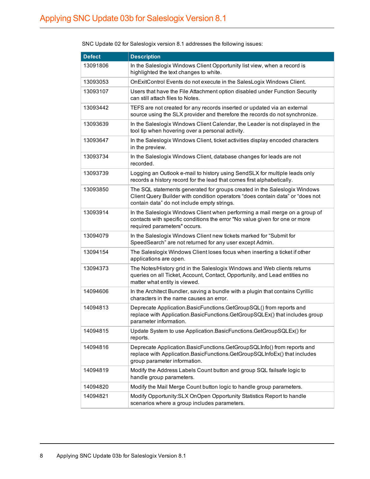| <b>Defect</b> | <b>Description</b>                                                                                                                                                                                         |
|---------------|------------------------------------------------------------------------------------------------------------------------------------------------------------------------------------------------------------|
| 13091806      | In the Saleslogix Windows Client Opportunity list view, when a record is<br>highlighted the text changes to white.                                                                                         |
| 13093053      | OnExitControl Events do not execute in the SalesLogix Windows Client.                                                                                                                                      |
| 13093107      | Users that have the File Attachment option disabled under Function Security<br>can still attach files to Notes.                                                                                            |
| 13093442      | TEFS are not created for any records inserted or updated via an external<br>source using the SLX provider and therefore the records do not synchronize.                                                    |
| 13093639      | In the Saleslogix Windows Client Calendar, the Leader is not displayed in the<br>tool tip when hovering over a personal activity.                                                                          |
| 13093647      | In the Saleslogix Windows Client, ticket activities display encoded characters<br>in the preview.                                                                                                          |
| 13093734      | In the Saleslogix Windows Client, database changes for leads are not<br>recorded.                                                                                                                          |
| 13093739      | Logging an Outlook e-mail to history using SendSLX for multiple leads only<br>records a history record for the lead that comes first alphabetically.                                                       |
| 13093850      | The SQL statements generated for groups created in the Saleslogix Windows<br>Client Query Builder with condition operators "does contain data" or "does not<br>contain data" do not include empty strings. |
| 13093914      | In the Saleslogix Windows Client when performing a mail merge on a group of<br>contacts with specific conditions the error "No value given for one or more<br>required parameters" occurs.                 |
| 13094079      | In the Saleslogix Windows Client new tickets marked for "Submit for<br>SpeedSearch" are not returned for any user except Admin.                                                                            |
| 13094154      | The Saleslogix Windows Client loses focus when inserting a ticket if other<br>applications are open.                                                                                                       |
| 13094373      | The Notes/History grid in the Saleslogix Windows and Web clients returns<br>queries on all Ticket, Account, Contact, Opportunity, and Lead entities no<br>matter what entity is viewed.                    |
| 14094606      | In the Architect Bundler, saving a bundle with a plugin that contains Cyrillic<br>characters in the name causes an error.                                                                                  |
| 14094813      | Deprecate Application.BasicFunctions.GetGroupSQL() from reports and<br>replace with Application.BasicFunctions.GetGroupSQLEx() that includes group<br>parameter information.                               |
| 14094815      | Update System to use Application.BasicFunctions.GetGroupSQLEx() for<br>reports.                                                                                                                            |
| 14094816      | Deprecate Application.BasicFunctions.GetGroupSQLInfo() from reports and<br>replace with Application.BasicFunctions.GetGroupSQLInfoEx() that includes<br>group parameter information.                       |
| 14094819      | Modify the Address Labels Count button and group SQL failsafe logic to<br>handle group parameters.                                                                                                         |
| 14094820      | Modify the Mail Merge Count button logic to handle group parameters.                                                                                                                                       |
| 14094821      | Modify Opportunity: SLX OnOpen Opportunity Statistics Report to handle<br>scenarios where a group includes parameters.                                                                                     |

SNC Update 02 for Saleslogix version 8.1 addresses the following issues: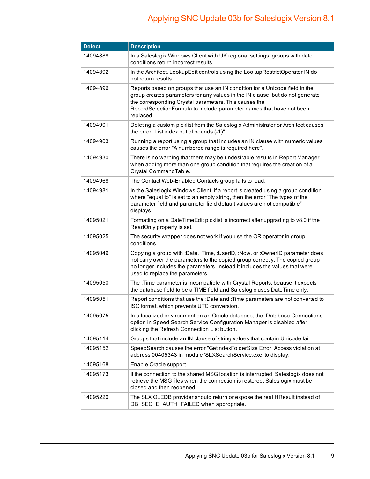| <b>Defect</b> | <b>Description</b>                                                                                                                                                                                                                                                                                         |
|---------------|------------------------------------------------------------------------------------------------------------------------------------------------------------------------------------------------------------------------------------------------------------------------------------------------------------|
| 14094888      | In a Saleslogix Windows Client with UK regional settings, groups with date<br>conditions return incorrect results.                                                                                                                                                                                         |
| 14094892      | In the Architect, LookupEdit controls using the LookupRestrictOperator IN do<br>not return results.                                                                                                                                                                                                        |
| 14094896      | Reports based on groups that use an IN condition for a Unicode field in the<br>group creates parameters for any values in the IN clause, but do not generate<br>the corresponding Crystal parameters. This causes the<br>RecordSelectionFormula to include parameter names that have not been<br>replaced. |
| 14094901      | Deleting a custom picklist from the Saleslogix Administrator or Architect causes<br>the error "List index out of bounds (-1)".                                                                                                                                                                             |
| 14094903      | Running a report using a group that includes an IN clause with numeric values<br>causes the error "A numbered range is required here".                                                                                                                                                                     |
| 14094930      | There is no warning that there may be undesirable results in Report Manager<br>when adding more than one group condition that requires the creation of a<br>Crystal CommandTable.                                                                                                                          |
| 14094968      | The Contact: Web-Enabled Contacts group fails to load.                                                                                                                                                                                                                                                     |
| 14094981      | In the Saleslogix Windows Client, if a report is created using a group condition<br>where "equal to" is set to an empty string, then the error "The types of the<br>parameter field and parameter field default values are not compatible"<br>displays.                                                    |
| 14095021      | Formatting on a DateTimeEdit picklist is incorrect after upgrading to v8.0 if the<br>ReadOnly property is set.                                                                                                                                                                                             |
| 14095025      | The security wrapper does not work if you use the OR operator in group<br>conditions.                                                                                                                                                                                                                      |
| 14095049      | Copying a group with :Date, :Time, :UserID, :Now, or :OwnerID parameter does<br>not carry over the parameters to the copied group correctly. The copied group<br>no longer includes the parameters. Instead it includes the values that were<br>used to replace the parameters.                            |
| 14095050      | The : Time parameter is incompatible with Crystal Reports, beause it expects<br>the database field to be a TIME field and Saleslogix uses DateTime only.                                                                                                                                                   |
| 14095051      | Report conditions that use the :Date and :Time parameters are not converted to<br>ISO format, which prevents UTC conversion.                                                                                                                                                                               |
| 14095075      | In a localized environment on an Oracle database, the :Database Connections<br>option in Speed Search Service Configuration Manager is disabled after<br>clicking the Refresh Connection List button.                                                                                                      |
| 14095114      | Groups that include an IN clause of string values that contain Unicode fail.                                                                                                                                                                                                                               |
| 14095152      | SpeedSearch causes the error "GetIndexFolderSize Error: Access violation at<br>address 00405343 in module 'SLXSearchService.exe' to display.                                                                                                                                                               |
| 14095168      | Enable Oracle support.                                                                                                                                                                                                                                                                                     |
| 14095173      | If the connection to the shared MSG location is interrupted, Saleslogix does not<br>retrieve the MSG files when the connection is restored. Saleslogix must be<br>closed and then reopened.                                                                                                                |
| 14095220      | The SLX OLEDB provider should return or expose the real HResult instead of<br>DB_SEC_E_AUTH_FAILED when appropriate.                                                                                                                                                                                       |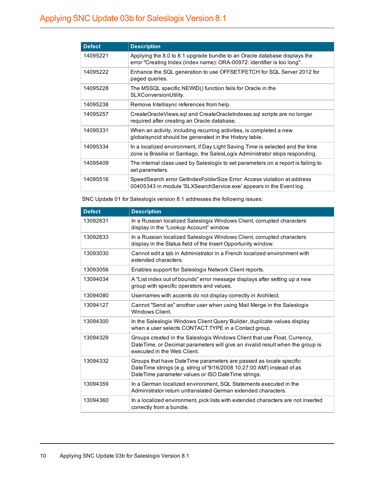| <b>Defect</b> | <b>Description</b>                                                                                                                                            |
|---------------|---------------------------------------------------------------------------------------------------------------------------------------------------------------|
| 14095221      | Applying the 8.0 to 8.1 upgrade bundle to an Oracle database displays the<br>error "Creating Index (index name): ORA-00972: identifier is too long".          |
| 14095222      | Enhance the SQL generation to use OFFSET/FETCH for SQL Server 2012 for<br>paged queries.                                                                      |
| 14095228      | The MSSQL specific NEWID() function fails for Oracle in the<br>SLXConversionUtility.                                                                          |
| 14095238      | Remove Intellisync references from help.                                                                                                                      |
| 14095257      | CreateOracleViews.sql and CreateOracleIndexes.sql scripts are no longer<br>required after creating an Oracle database.                                        |
| 14095331      | When an activity, including recurring activities, is completed a new<br>globalsyncid should be generated in the History table.                                |
| 14095334      | In a localized environment, if Day Light Saving Time is selected and the time<br>zone is Brasilia or Santiago, the SalesLogix Administrator stops responding. |
| 14095409      | The internal class used by Saleslogix to set parameters on a report is failing to<br>set parameters.                                                          |
| 14095516      | SpeedSearch error GetIndexFolderSize Error: Access violation at address<br>00405343 in module 'SLXSearchService.exe' appears in the Event log.                |

SNC Update 01 for Saleslogix version 8.1 addresses the following issues:

| <b>Defect</b> | <b>Description</b>                                                                                                                                                                                  |
|---------------|-----------------------------------------------------------------------------------------------------------------------------------------------------------------------------------------------------|
| 13092631      | In a Russian localized Saleslogix Windows Client, corrupted characters<br>display in the "Lookup Account" window.                                                                                   |
| 13092633      | In a Russian localized Saleslogix Windows Client, corrupted characters<br>display in the Status field of the Insert Opportunity window.                                                             |
| 13093030      | Cannot edit a tab in Administrator in a French localized environment with<br>extended characters.                                                                                                   |
| 13093056      | Enables support for Saleslogix Network Client reports.                                                                                                                                              |
| 13094034      | A "List index out of bounds" error message displays after setting up a new<br>group with specific operators and values.                                                                             |
| 13094080      | Usernames with accents do not display correctly in Architect.                                                                                                                                       |
| 13094127      | Cannot "Send as" another user when using Mail Merge in the Saleslogix<br>Windows Client.                                                                                                            |
| 13094300      | In the Saleslogix Windows Client Query Builder, duplicate values display<br>when a user selects CONTACT. TYPE in a Contact group.                                                                   |
| 13094329      | Groups created in the Saleslogix Windows Client that use Float, Currency,<br>DateTime, or Decimal parameters will give an invalid result when the group is<br>executed in the Web Client.           |
| 13094332      | Groups that have DateTime parameters are passed as locale specific<br>DateTime strings (e.g. string of '9/16/2008 10:27:00 AM') instead of as<br>DateTime parameter values or ISO DateTime strings. |
| 13094359      | In a German localized environment, SQL Statements executed in the<br>Administrator return untranslated German extended characters.                                                                  |
| 13094360      | In a localized environment, pick lists with extended characters are not inserted<br>correctly from a bundle.                                                                                        |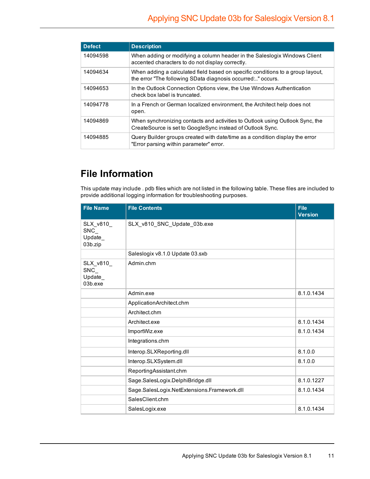| <b>Defect</b> | <b>Description</b>                                                                                                                           |
|---------------|----------------------------------------------------------------------------------------------------------------------------------------------|
| 14094598      | When adding or modifying a column header in the Saleslogix Windows Client<br>accented characters to do not display correctly.                |
| 14094634      | When adding a calculated field based on specific conditions to a group layout,<br>the error "The following SData diagnosis occurred" occurs. |
| 14094653      | In the Outlook Connection Options view, the Use Windows Authentication<br>check box label is truncated.                                      |
| 14094778      | In a French or German localized environment, the Architect help does not<br>open.                                                            |
| 14094869      | When synchronizing contacts and activities to Outlook using Outlook Sync, the<br>CreateSource is set to GoogleSync instead of Outlook Sync.  |
| 14094885      | Query Builder groups created with date/time as a condition display the error<br>"Error parsing within parameter" error.                      |

## **File Information**

This update may include . pdb files which are not listed in the following table. These files are included to provide additional logging information for troubleshooting purposes.

| <b>File Name</b>                           | <b>File Contents</b>                        | <b>File</b><br><b>Version</b> |
|--------------------------------------------|---------------------------------------------|-------------------------------|
| SLX v810<br>SNC<br>Update<br>03b.zip       | SLX_v810_SNC_Update_03b.exe                 |                               |
|                                            | Saleslogix v8.1.0 Update 03.sxb             |                               |
| SLX v810<br>$SNC_{-}$<br>Update<br>03b.exe | Admin.chm                                   |                               |
|                                            | Admin.exe                                   | 8.1.0.1434                    |
|                                            | ApplicationArchitect.chm                    |                               |
|                                            | Architect.chm                               |                               |
|                                            | Architect.exe                               | 8.1.0.1434                    |
|                                            | ImportWiz.exe                               | 8.1.0.1434                    |
|                                            | Integrations.chm                            |                               |
|                                            | Interop.SLXReporting.dll                    | 8.1.0.0                       |
|                                            | Interop.SLXSystem.dll                       | 8.1.0.0                       |
|                                            | ReportingAssistant.chm                      |                               |
|                                            | Sage.SalesLogix.DelphiBridge.dll            | 8.1.0.1227                    |
|                                            | Sage.SalesLogix.NetExtensions.Framework.dll | 8.1.0.1434                    |
|                                            | SalesClient.chm                             |                               |
|                                            | SalesLogix.exe                              | 8.1.0.1434                    |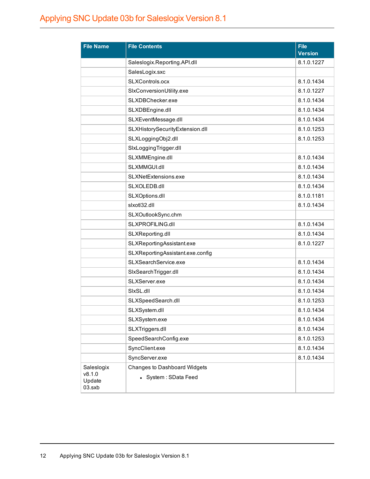| <b>File Name</b>           | <b>File Contents</b>             | <b>File</b><br><b>Version</b> |
|----------------------------|----------------------------------|-------------------------------|
|                            | Saleslogix.Reporting.API.dll     | 8.1.0.1227                    |
|                            | SalesLogix.sxc                   |                               |
|                            | SLXControls.ocx                  | 8.1.0.1434                    |
|                            | SIxConversionUtility.exe         | 8.1.0.1227                    |
|                            | SLXDBChecker.exe                 | 8.1.0.1434                    |
|                            | SLXDBEngine.dll                  | 8.1.0.1434                    |
|                            | SLXEventMessage.dll              | 8.1.0.1434                    |
|                            | SLXHistorySecurityExtension.dll  | 8.1.0.1253                    |
|                            | SLXLoggingObj2.dll               | 8.1.0.1253                    |
|                            | SIxLoggingTrigger.dll            |                               |
|                            | SLXMMEngine.dll                  | 8.1.0.1434                    |
|                            | SLXMMGUI.dll                     | 8.1.0.1434                    |
|                            | SLXNetExtensions.exe             | 8.1.0.1434                    |
|                            | SLXOLEDB.dll                     | 8.1.0.1434                    |
|                            | SLXOptions.dll                   | 8.1.0.1181                    |
|                            | slxotl32.dll                     | 8.1.0.1434                    |
|                            | SLXOutlookSync.chm               |                               |
|                            | SLXPROFILING.dll                 | 8.1.0.1434                    |
|                            | SLXReporting.dll                 | 8.1.0.1434                    |
|                            | SLXReportingAssistant.exe        | 8.1.0.1227                    |
|                            | SLXReportingAssistant.exe.config |                               |
|                            | SLXSearchService.exe             | 8.1.0.1434                    |
|                            | SIxSearchTrigger.dll             | 8.1.0.1434                    |
|                            | SLXServer.exe                    | 8.1.0.1434                    |
|                            | SIxSL.dll                        | 8.1.0.1434                    |
|                            | SLXSpeedSearch.dll               | 8.1.0.1253                    |
|                            | SLXSystem.dll                    | 8.1.0.1434                    |
|                            | SLXSystem.exe                    | 8.1.0.1434                    |
|                            | SLXTriggers.dll                  | 8.1.0.1434                    |
|                            | SpeedSearchConfig.exe            | 8.1.0.1253                    |
|                            | SyncClient.exe                   | 8.1.0.1434                    |
|                            | SyncServer.exe                   | 8.1.0.1434                    |
| Saleslogix                 | Changes to Dashboard Widgets     |                               |
| v8.1.0<br>Update<br>03.sxb | • System : SData Feed            |                               |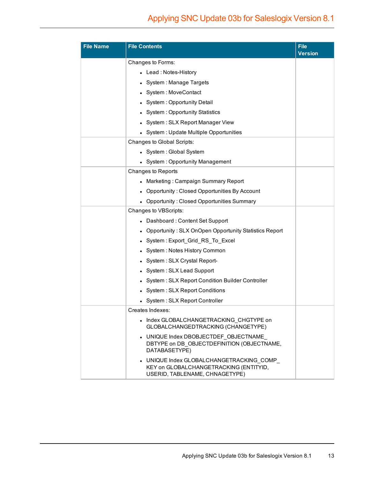| <b>File Name</b> | <b>File Contents</b>                                                                                                 | <b>File</b><br><b>Version</b> |
|------------------|----------------------------------------------------------------------------------------------------------------------|-------------------------------|
|                  | Changes to Forms:                                                                                                    |                               |
|                  | Lead: Notes-History                                                                                                  |                               |
|                  | System: Manage Targets                                                                                               |                               |
|                  | System: MoveContact                                                                                                  |                               |
|                  | System: Opportunity Detail                                                                                           |                               |
|                  | <b>System: Opportunity Statistics</b>                                                                                |                               |
|                  | System: SLX Report Manager View                                                                                      |                               |
|                  | System : Update Multiple Opportunities                                                                               |                               |
|                  | Changes to Global Scripts:                                                                                           |                               |
|                  | • System : Global System                                                                                             |                               |
|                  | • System: Opportunity Management                                                                                     |                               |
|                  | Changes to Reports                                                                                                   |                               |
|                  | Marketing: Campaign Summary Report                                                                                   |                               |
|                  | • Opportunity: Closed Opportunities By Account                                                                       |                               |
|                  | <b>Opportunity: Closed Opportunities Summary</b>                                                                     |                               |
|                  | Changes to VBScripts:                                                                                                |                               |
|                  | • Dashboard: Content Set Support                                                                                     |                               |
|                  | Opportunity: SLX OnOpen Opportunity Statistics Report                                                                |                               |
|                  | System: Export_Grid_RS_To_Excel                                                                                      |                               |
|                  | System: Notes History Common                                                                                         |                               |
|                  | System: SLX Crystal Report-                                                                                          |                               |
|                  | System: SLX Lead Support                                                                                             |                               |
|                  | System: SLX Report Condition Builder Controller                                                                      |                               |
|                  | System: SLX Report Conditions                                                                                        |                               |
|                  | System: SLX Report Controller                                                                                        |                               |
|                  | Creates Indexes:                                                                                                     |                               |
|                  | • Index GLOBALCHANGETRACKING CHGTYPE on<br>GLOBALCHANGEDTRACKING (CHANGETYPE)                                        |                               |
|                  | • UNIQUE Index DBOBJECTDEF OBJECTNAME<br>DBTYPE on DB OBJECTDEFINITION (OBJECTNAME,<br>DATABASETYPE)                 |                               |
|                  | • UNIQUE Index GLOBALCHANGETRACKING COMP<br>KEY on GLOBALCHANGETRACKING (ENTITYID,<br>USERID, TABLENAME, CHNAGETYPE) |                               |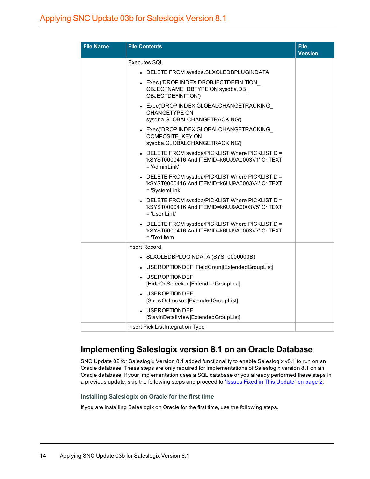| <b>File Name</b> | <b>File Contents</b>                                                                                                  | <b>File</b><br><b>Version</b> |
|------------------|-----------------------------------------------------------------------------------------------------------------------|-------------------------------|
|                  | Executes SQL                                                                                                          |                               |
|                  | • DELETE FROM sysdba.SLXOLEDBPLUGINDATA                                                                               |                               |
|                  | • Exec ('DROP INDEX DBOBJECTDEFINITION<br>OBJECTNAME DBTYPE ON sysdba.DB<br>OBJECTDEFINITION')                        |                               |
|                  | • Exec('DROP INDEX GLOBALCHANGETRACKING<br><b>CHANGETYPE ON</b><br>sysdba.GLOBALCHANGETRACKING')                      |                               |
|                  | • Exec('DROP INDEX GLOBALCHANGETRACKING<br>COMPOSITE KEY ON<br>sysdba.GLOBALCHANGETRACKING')                          |                               |
|                  | • DELETE FROM sysdba/PICKLIST Where PICKLISTID =<br>'kSYST0000416 And ITEMID=k6UJ9A0003V1' Or TEXT<br>$=$ 'AdminLink' |                               |
|                  | - DELETE FROM sysdba/PICKLIST Where PICKLISTID =<br>'kSYST0000416 And ITEMID=k6UJ9A0003V4' Or TEXT<br>= 'SystemLink'  |                               |
|                  | • DELETE FROM sysdba/PICKLIST Where PICKLISTID =<br>'kSYST0000416 And ITEMID=k6UJ9A0003V5' Or TEXT<br>= 'User Link'   |                               |
|                  | DELETE FROM sysdba/PICKLIST Where PICKLISTID =<br>"kSYST0000416 And ITEMID=k6UJ9A0003V7' Or TEXT<br>$=$ Text Item     |                               |
|                  | Insert Record:                                                                                                        |                               |
|                  | • SLXOLEDBPLUGINDATA (SYST0000000B)                                                                                   |                               |
|                  | • USEROPTIONDEF [FieldCoun tExtendedGroupList]                                                                        |                               |
|                  | • USEROPTIONDEF<br>[HideOnSelection ExtendedGroupList]                                                                |                               |
|                  | • USEROPTIONDEF<br>[ShowOnLookup ExtendedGroupList]                                                                   |                               |
|                  | • USEROPTIONDEF<br>[StayInDetailView ExtendedGroupList]                                                               |                               |
|                  | Insert Pick List Integration Type                                                                                     |                               |

### **Implementing Saleslogix version 8.1 on an Oracle Database**

SNC Update 02 for Saleslogix Version 8.1 added functionality to enable Saleslogix v8.1 to run on an Oracle database. These steps are only required for implementations of Saleslogix version 8.1 on an Oracle database. If your implementation uses a SQL database or you already performed these steps in a previous update, skip the following steps and proceed to "Issues Fixed in This [Update"](#page-3-0) on page 2.

#### **Installing Saleslogix on Oracle for the first time**

If you are installing Saleslogix on Oracle for the first time, use the following steps.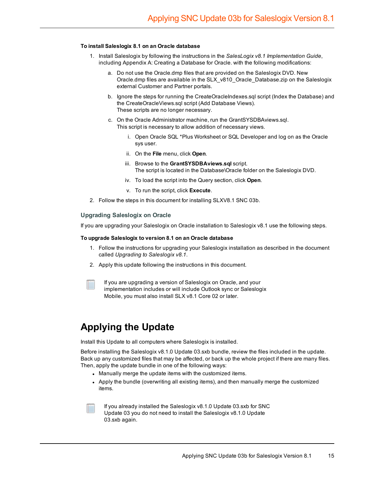#### **To install Saleslogix 8.1 on an Oracle database**

- 1. Install Saleslogix by following the instructions in the *SalesLogix v8.1 Implementation Guide*, including Appendix A: Creating a Database for Oracle. with the following modifications:
	- a. Do not use the Oracle.dmp files that are provided on the Saleslogix DVD. New Oracle.dmp files are available in the SLX\_v810\_Oracle\_Database.zip on the Saleslogix external Customer and Partner portals.
	- b. Ignore the steps for running the CreateOracleIndexes.sql script (Index the Database) and the CreateOracleViews.sql script (Add Database Views). These scripts are no longer necessary.
	- c. On the Oracle Administrator machine, run the GrantSYSDBAviews.sql. This script is necessary to allow addition of necessary views.
		- i. Open Oracle SQL \*Plus Worksheet or SQL Developer and log on as the Oracle sys user.
		- ii. On the **File** menu, click **Open**.
		- iii. Browse to the **GrantSYSDBAviews.sql** script. The script is located in the Database\Oracle folder on the Saleslogix DVD.
		- iv. To load the script into the Query section, click **Open**.
		- v. To run the script, click **Execute**.
- 2. Follow the steps in this document for installing SLXV8.1 SNC 03b.

#### **Upgrading Saleslogix on Oracle**

If you are upgrading your Saleslogix on Oracle installation to Saleslogix v8.1 use the following steps.

#### **To upgrade Saleslogix to version 8.1 on an Oracle database**

- 1. Follow the instructions for upgrading your Saleslogix installation as described in the document called *Upgrading to Saleslogix v8.1*.
- 2. Apply this update following the instructions in this document.
- If you are upgrading a version of Saleslogix on Oracle, and your implementation includes or will include Outlook sync or Saleslogix Mobile, you must also install SLX v8.1 Core 02 or later.

### **Applying the Update**

Install this Update to all computers where Saleslogix is installed.

Before installing the Saleslogix v8.1.0 Update 03.sxb bundle, review the files included in the update. Back up any customized files that may be affected, or back up the whole project if there are many files. Then, apply the update bundle in one of the following ways:

- Manually merge the update items with the customized items.
- Apply the bundle (overwriting all existing items), and then manually merge the customized items.
- If you already installed the Saleslogix v8.1.0 Update 03.sxb for SNC Update 03 you do not need to install the Saleslogix v8.1.0 Update 03.sxb again.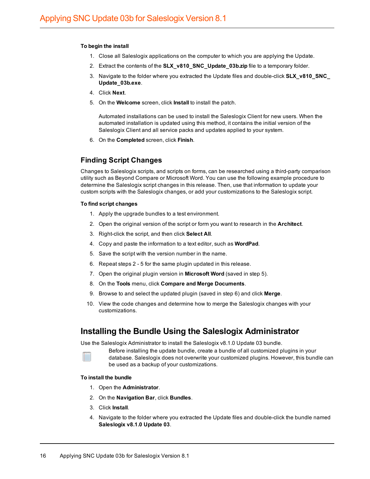#### **To begin the install**

- 1. Close all Saleslogix applications on the computer to which you are applying the Update.
- 2. Extract the contents of the **SLX\_v810\_SNC\_Update\_03b.zip** file to a temporary folder.
- 3. Navigate to the folder where you extracted the Update files and double-click **SLX\_v810\_SNC\_ Update\_03b.exe**.
- 4. Click **Next**.
- 5. On the **Welcome** screen, click **Install** to install the patch.

Automated installations can be used to install the Saleslogix Client for new users. When the automated installation is updated using this method, it contains the initial version of the Saleslogix Client and all service packs and updates applied to your system.

6. On the **Completed** screen, click **Finish**.

#### **Finding Script Changes**

Changes to Saleslogix scripts, and scripts on forms, can be researched using a third-party comparison utility such as Beyond Compare or Microsoft Word. You can use the following example procedure to determine the Saleslogix script changes in this release. Then, use that information to update your custom scripts with the Saleslogix changes, or add your customizations to the Saleslogix script.

#### **To find script changes**

- 1. Apply the upgrade bundles to a test environment.
- 2. Open the original version of the script or form you want to research in the **Architect**.
- 3. Right-click the script, and then click **Select All**.
- 4. Copy and paste the information to a text editor, such as **WordPad**.
- 5. Save the script with the version number in the name.
- 6. Repeat steps 2 5 for the same plugin updated in this release.
- 7. Open the original plugin version in **Microsoft Word** (saved in step 5).
- 8. On the **Tools** menu, click **Compare and Merge Documents**.
- 9. Browse to and select the updated plugin (saved in step 6) and click **Merge**.
- 10. View the code changes and determine how to merge the Saleslogix changes with your customizations.

#### **Installing the Bundle Using the Saleslogix Administrator**

Use the Saleslogix Administrator to install the Saleslogix v8.1.0 Update 03 bundle.

Before installing the update bundle, create a bundle of all customized plugins in your database. Saleslogix does not overwrite your customized plugins. However, this bundle can be used as a backup of your customizations.

#### **To install the bundle**

- 1. Open the **Administrator**.
- 2. On the **Navigation Bar**, click **Bundles**.
- 3. Click **Install**.
- 4. Navigate to the folder where you extracted the Update files and double-click the bundle named **Saleslogix v8.1.0 Update 03**.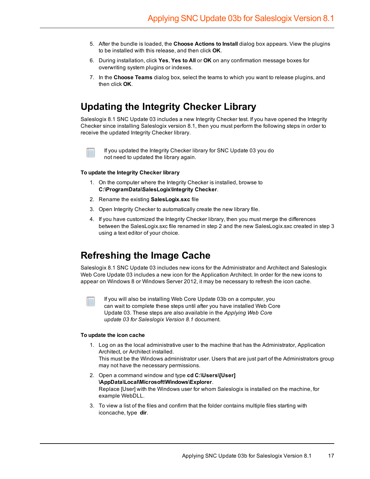- 5. After the bundle is loaded, the **Choose Actions to Install** dialog box appears. View the plugins to be installed with this release, and then click **OK**.
- 6. During installation, click **Yes**, **Yes to All** or **OK** on any confirmation message boxes for overwriting system plugins or indexes.
- 7. In the **Choose Teams** dialog box, select the teams to which you want to release plugins, and then click **OK**.

## **Updating the Integrity Checker Library**

Saleslogix 8.1 SNC Update 03 includes a new Integrity Checker test. If you have opened the Integrity Checker since installing Saleslogix version 8.1, then you must perform the following steps in order to receive the updated Integrity Checker library.



If you updated the Integrity Checker library for SNC Update 03 you do not need to updated the library again.

#### **To update the Integrity Checker library**

- 1. On the computer where the Integrity Checker is installed, browse to **C:\ProgramData\SalesLogix\Integrity Checker**.
- 2. Rename the existing **SalesLogix.sxc** file
- 3. Open Integrity Checker to automatically create the new library file.
- 4. If you have customized the Integrity Checker library, then you must merge the differences between the SalesLogix.sxc file renamed in step 2 and the new SalesLogix.sxc created in step 3 using a text editor of your choice.

### **Refreshing the Image Cache**

Saleslogix 8.1 SNC Update 03 includes new icons for the Administrator and Architect and Saleslogix Web Core Update 03 includes a new icon for the Application Architect. In order for the new icons to appear on Windows 8 or Windows Server 2012, it may be necessary to refresh the icon cache.

If you will also be installing Web Core Update 03b on a computer, you can wait to complete these steps until after you have installed Web Core Update 03. These steps are also available in the *Applying Web Core update 03 for Saleslogix Version 8.1* document.

#### **To update the icon cache**

1. Log on as the local administrative user to the machine that has the Administrator, Application Architect, or Architect installed.

This must be the Windows administrator user. Users that are just part of the Administrators group may not have the necessary permissions.

- 2. Open a command window and type **cd C:\Users\[User] \AppData\Local\Microsoft\Windows\Explorer**. Replace [User] with the Windows user for whom Saleslogix is installed on the machine, for example WebDLL.
- 3. To view a list of the files and confirm that the folder contains multiple files starting with iconcache, type **dir**.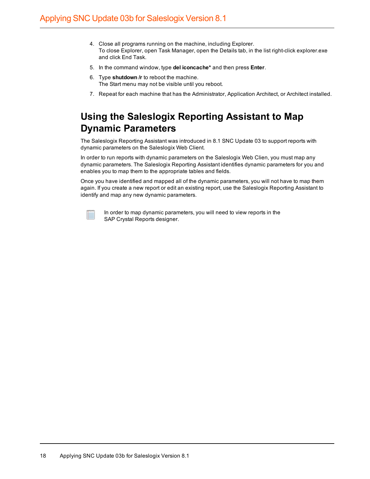- 4. Close all programs running on the machine, including Explorer. To close Explorer, open Task Manager, open the Details tab, in the list right-click explorer.exe and click End Task.
- 5. In the command window, type **del iconcache\*** and then press **Enter**.
- 6. Type **shutdown /r** to reboot the machine. The Start menu may not be visible until you reboot.
- 7. Repeat for each machine that has the Administrator, Application Architect, or Architect installed.

## **Using the Saleslogix Reporting Assistant to Map Dynamic Parameters**

The Saleslogix Reporting Assistant was introduced in 8.1 SNC Update 03 to support reports with dynamic parameters on the Saleslogix Web Client.

In order to run reports with dynamic parameters on the Saleslogix Web Clien, you must map any dynamic parameters. The Saleslogix Reporting Assistant identifies dynamic parameters for you and enables you to map them to the appropriate tables and fields.

Once you have identified and mapped all of the dynamic parameters, you will not have to map them again. If you create a new report or edit an existing report, use the Saleslogix Reporting Assistant to identify and map any new dynamic parameters.



In order to map dynamic parameters, you will need to view reports in the SAP Crystal Reports designer.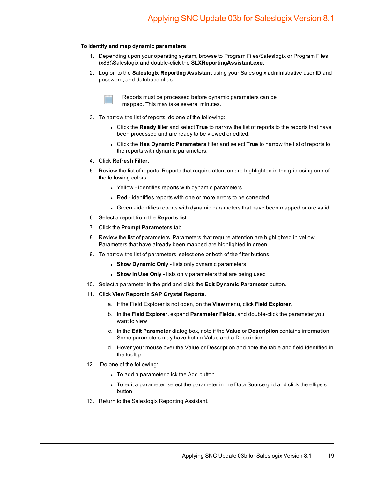#### **To identify and map dynamic parameters**

- 1. Depending upon your operating system, browse to Program Files\Saleslogix or Program Files (x86)\Saleslogix and double-click the **SLXReportingAssistant.exe**.
- 2. Log on to the **Saleslogix Reporting Assistant** using your Saleslogix administrative user ID and password, and database alias.



Reports must be processed before dynamic parameters can be mapped. This may take several minutes.

- 3. To narrow the list of reports, do one of the following:
	- <sup>l</sup> Click the **Ready** filter and select **True** to narrow the list of reports to the reports that have been processed and are ready to be viewed or edited.
	- <sup>l</sup> Click the **Has Dynamic Parameters** filter and select **True** to narrow the list of reports to the reports with dynamic parameters.
- 4. Click **Refresh Filter**.
- 5. Review the list of reports. Reports that require attention are highlighted in the grid using one of the following colors.
	- Yellow identifies reports with dynamic parameters.
	- Red identifies reports with one or more errors to be corrected.
	- Green identifies reports with dynamic parameters that have been mapped or are valid.
- 6. Select a report from the **Reports** list.
- 7. Click the **Prompt Parameters** tab.
- 8. Review the list of parameters. Parameters that require attention are highlighted in yellow. Parameters that have already been mapped are highlighted in green.
- 9. To narrow the list of parameters, select one or both of the filter buttons:
	- **.** Show Dynamic Only lists only dynamic parameters
	- **.** Show In Use Only lists only parameters that are being used
- 10. Select a parameter in the grid and click the **Edit Dynamic Parameter** button.
- 11. Click **View Report in SAP Crystal Reports**.
	- a. If the Field Explorer is not open, on the **View** menu, click **Field Explorer**.
	- b. In the **Field Explorer**, expand **Parameter Fields**, and double-click the parameter you want to view.
	- c. In the **Edit Parameter** dialog box, note if the **Value** or **Description** contains information. Some parameters may have both a Value and a Description.
	- d. Hover your mouse over the Value or Description and note the table and field identified in the tooltip.
- 12. Do one of the following:
	- To add a parameter click the Add button.
	- I To edit a parameter, select the parameter in the Data Source grid and click the ellipsis button
- 13. Return to the Saleslogix Reporting Assistant.